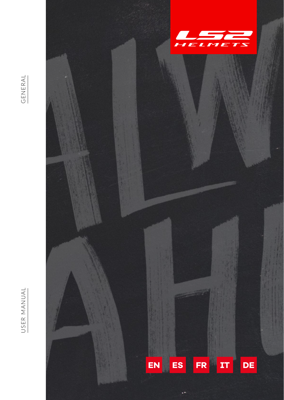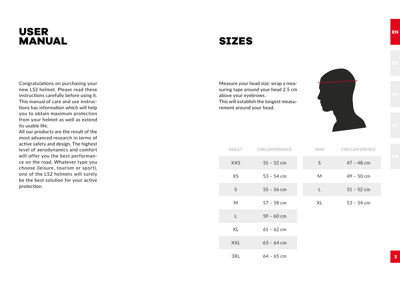# **USER MANUAL**

# **SIZES**

Measure your head size: wrap a measuring tape around your head 2.5 cm above your eyebrows. This will establish the longest measurement around your head.



ADULT CIRCUMFERENCE XXS 51 – 52 cm XS 53 – 54 cm  $55 - 56$  cm M 57 – 58 cm L 59 – 60 cm XL 61 – 62 cm  $XXL$  63 – 64 cm 3XL 64 – 65 cm MINI CIRCUMFERENCE S 47 – 48 cm M 49 – 50 cm L  $51 - 52$  cm XL 53 – 54 cm

Congratulations on purchasing your new LS2 helmet. Please read these instructions carefully before using it. This manual of care and use instructions has information which will help you to obtain maximum protection from your helmet as well as extend its usable life.

All our products are the result of the most advanced research in terms of active safety and design. The highest level of aerodynamics and comfort will offer you the best performance on the road. Whatever type you choose (leisure, tourism or sport), one of the LS2 helmets will surely be the best solution for your active protection.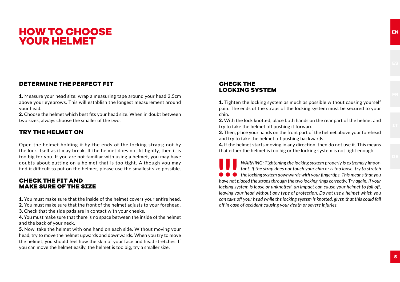# **HOW TO CHOOSE YOUR HELMET**

#### **DETERMINE THE PERFECT FIT**

1. Measure your head size: wrap a measuring tape around your head 2.5cm above your eyebrows. This will establish the longest measurement around your head.

2. Choose the helmet which best fits your head size. When in doubt between two sizes, always choose the smaller of the two.

#### **TRY THE HELMET ON**

Open the helmet holding it by the ends of the locking straps; not by the lock itself as it may break. If the helmet does not fit tightly, then it is too big for you. If you are not familiar with using a helmet, you may have doubts about putting on a helmet that is too tight. Although you may find it difficult to put on the helmet, please use the smallest size possible.

#### **CHECK THE FIT AND MAKE SURE OF THE SIZE**

1. You must make sure that the inside of the helmet covers your entire head.

2. You must make sure that the front of the helmet adjusts to your forehead.

3. Check that the side pads are in contact with your cheeks.

4. You must make sure that there is no space between the inside of the helmet and the back of your neck.

5. Now, take the helmet with one hand on each side. Without moving your head, try to move the helmet upwards and downwards. When you try to move the helmet, you should feel how the skin of your face and head stretches. If you can move the helmet easily, the helmet is too big, try a smaller size.

#### **CHECK THE LOCKING SYSTEM**

1. Tighten the locking system as much as possible without causing yourself pain. The ends of the straps of the locking system must be secured to your chin.

2. With the lock knotted, place both hands on the rear part of the helmet and try to take the helmet off pushing it forward.

3. Then, place your hands on the front part of the helmet above your forehead and try to take the helmet off pushing backwards.

4. If the helmet starts moving in any direction, then do not use it. This means that either the helmet is too big or the locking system is not tight enough.

**have Note 1 and 1 and 1 and 1 and 1 and 1 and 1 and 1 and 1 and 1 and 1 and 1 and 1 and 1 and 1 and 1 and 1 and 1 and 1 and 1 and 1 and 1 and 1 and 1 and 1 and 1 and 1 and 1 and 1 and 1 and 1 and 1 and 1 and 1 and 1 and 1** *WARNING: Tightening the locking system properly is extremely important. If the strap does not touch your chin or is too loose, try to stretch the locking system downwards with your fingertips. This means that you locking system is loose or unknotted, an impact can cause your helmet to fall off, leaving your head without any type of protection. Do not use a helmet which you can take off your head while the locking system is knotted, given that this could fall off in case of accident causing your death or severe injuries.*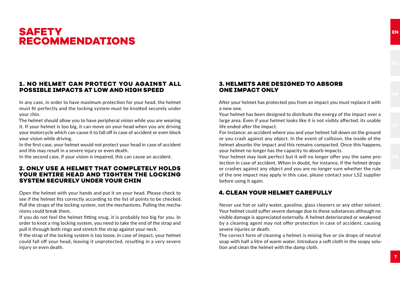# **SAFETY RECOMMENDATIONS**

#### **1. NO HELMET CAN PROTECT YOU AGAINST ALL POSSIBLE IMPACTS AT LOW AND HIGH SPEED**

In any case, in order to have maximum protection for your head, the helmet must fit perfectly and the locking system must be knotted securely under your chin.

The helmet should allow you to have peripheral vision while you are wearing it. If your helmet is too big, it can move on your head when you are driving your motorcycle which can cause it to fall off in case of accident or even block your vision while driving.

In the first case, your helmet would not protect your head in case of accident and this may result in a severe injury or even death.

In the second case, if your vision is impaired, this can cause an accident.

#### **2. ONLY USE A HELMET THAT COMPLETELY HOLDS YOUR ENTIRE HEAD AND TIGHTEN THE LOCKING SYSTEM SECURELY UNDER YOUR CHIN**

Open the helmet with your hands and put it on your head. Please check to see if the helmet fits correctly according to the list of points to be checked. Pull the straps of the locking system, not the mechanisms. Pulling the mechanisms could break them.

If you do not feel the helmet fitting snug, it is probably too big for you. In order to knot a ring locking system, you need to take the end of the strap and pull it through both rings and stretch the strap against your neck.

If the strap of the locking system is too loose, in case of impact, your helmet could fall off your head, leaving it unprotected, resulting in a very severe injury or even death.

#### **3. HELMETS ARE DESIGNED TO ABSORB ONE IMPACT ONLY**

After your helmet has protected you from an impact you must replace it with a new one.

Your helmet has been designed to distribute the energy of the impact over a large area. Even if your helmet looks like it is not visibly affected, its usable life ended after the impact.

For instance: an accident where you and your helmet fall down on the ground or you crash against any object. In the event of collision, the inside of the helmet absorbs the impact and this remains compacted. Once this happens, your helmet no longer has the capacity to absorb impacts.

Your helmet may look perfect but it will no longer offer you the same protection in case of accident. When in doubt, for instance, if the helmet drops or crashes against any object and you are no longer sure whether the rule of the one impact may apply in this case, please contact your LS2 supplier before using it again.

#### **4. CLEAN YOUR HELMET CAREFULLY**

Never use hot or salty water, gasoline, glass cleaners or any other solvent. Your helmet could suffer severe damage due to these substances although no visible damage is appreciated externally. A helmet deteriorated or weakened by a cleaning agent may not offer protection in case of accident, causing severe injuries or death.

The correct form of cleaning a helmet is mixing five or six drops of neutral soap with half a litre of warm water. Introduce a soft cloth in the soapy solution and clean the helmet with the damp cloth.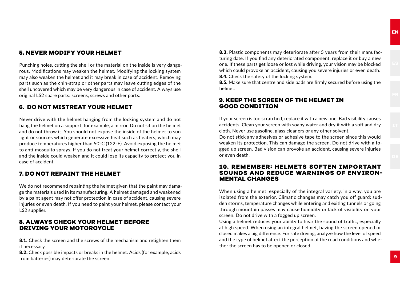#### **5. NEVER MODIFY YOUR HELMET**

Punching holes, cutting the shell or the material on the inside is very dangerous. Modifications may weaken the helmet. Modifying the locking system may also weaken the helmet and it may break in case of accident. Removing parts such as the chin-strap or other parts may leave cutting edges of the shell uncovered which may be very dangerous in case of accident. Always use original LS2 spare parts: screens, screws and other parts.

#### **6. DO NOT MISTREAT YOUR HELMET**

Never drive with the helmet hanging from the locking system and do not hang the helmet on a support, for example, a mirror. Do not sit on the helmet and do not throw it. You should not expose the inside of the helmet to sun light or sources which generate excessive heat such as heaters, which may produce temperatures higher than 50ºC (122ºF). Avoid exposing the helmet to anti-mosquito sprays. If you do not treat your helmet correctly, the shell and the inside could weaken and it could lose its capacity to protect you in case of accident.

#### **7. DO NOT REPAINT THE HELMET**

We do not recommend repainting the helmet given that the paint may damage the materials used in its manufacturing. A helmet damaged and weakened by a paint agent may not offer protection in case of accident, causing severe injuries or even death. If you need to paint your helmet, please contact your LS2 supplier.

#### **8. ALWAYS CHECK YOUR HELMET BEFORE DRIVING YOUR MOTORCYCLE**

8.1. Check the screen and the screws of the mechanism and retighten them if necessary.

8.2. Check possible impacts or breaks in the helmet. Acids (for example, acids from batteries) may deteriorate the screen.

8.3. Plastic components may deteriorate after 5 years from their manufacturing date. If you find any deteriorated component, replace it or buy a new one. If these parts get loose or lost while driving, your vision may be blocked which could provoke an accident, causing you severe injuries or even death. 8.4. Check the safety of the locking system.

8.5. Make sure that centre and side pads are firmly secured before using the helmet.

#### **9. KEEP THE SCREEN OF THE HELMET IN GOOD CONDITION**

If your screen is too scratched, replace it with a new one. Bad visibility causes accidents. Clean your screen with soapy water and dry it with a soft and dry cloth. Never use gasoline, glass cleaners or any other solvent.

Do not stick any adhesives or adhesive tape to the screen since this would weaken its protection. This can damage the screen. Do not drive with a fogged up screen. Bad vision can provoke an accident, causing severe injuries or even death.

#### **10. REMEMBER: HELMETS SOFTEN IMPORTANT SOUNDS AND REDUCE WARNINGS OF ENVIRON-MENTAL CHANGES**

When using a helmet, especially of the integral variety, in a way, you are isolated from the exterior. Climatic changes may catch you off guard: sudden storms, temperature changes while entering and exiting tunnels or going through mountain passes may cause humidity or lack of visibility on your screen. Do not drive with a fogged up screen.

Using a helmet reduces your ability to hear the sound of traffic, especially at high speed. When using an integral helmet, having the screen opened or closed makes a big difference. For safe driving, analyze how the level of speed and the type of helmet affect the perception of the road conditions and whether the screen has to be opened or closed.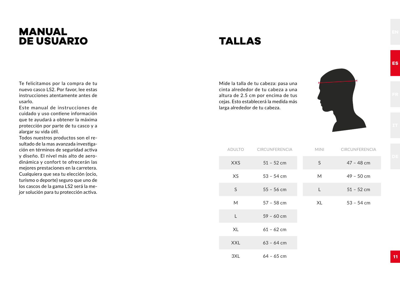# **MANUAL DE USUARIO**

# **TALLAS**

Mide la talla de tu cabeza: pasa una cinta alrededor de tu cabeza a una altura de 2.5 cm por encima de tus cejas. Esto establecerá la medida más larga alrededor de tu cabeza.

> ADULTO CIRCUNFERENCIA XXS 51 – 52 cm XS 53 – 54 cm  $55 - 56$  cm

M 57 – 58 cm

L 59 – 60 cm

XL 61 – 62 cm  $XXL$  63 – 64 cm

3XL 64 – 65 cm



MINI CIRCUNFERENCIA S 47 – 48 cm

M 49 – 50 cm  $1$   $51 - 52$  cm

**1 1**

**ES**

XL 53 – 54 cm

Te felicitamos por la compra de tu nuevo casco LS2. Por favor, lee estas instrucciones atentamente antes de usarlo.

Este manual de instrucciones de cuidado y uso contiene información que te ayudará a obtener la máxima protección por parte de tu casco y a alargar su vida útil.

Todos nuestros productos son el resultado de la mas avanzada investigación en términos de seguridad activa y diseño. El nivel más alto de aerodinámica y confort te ofrecerán las mejores prestaciones en la carretera. Cualquiera que sea tu elección (ocio, turismo o deporte) seguro que uno de los cascos de la gama LS2 será la mejor solución para tu protección activa.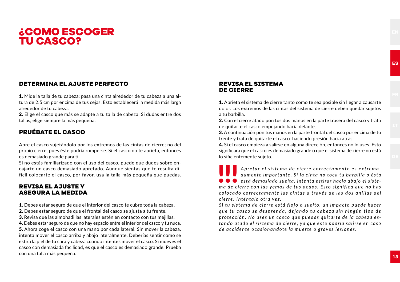### **¿COMO ESCOGER TU CASCO?**

#### **DETERMINA EL AJUSTE PERFECTO**

1. Mide la talla de tu cabeza: pasa una cinta alrededor de tu cabeza a una altura de 2.5 cm por encima de tus cejas. Esto establecerá la medida más larga alrededor de tu cabeza.

2. Elige el casco que más se adapte a tu talla de cabeza. Si dudas entre dos tallas, elige siempre la más pequeña.

#### **PRUÉBATE EL CASCO**

Abre el casco sujetándolo por los extremos de las cintas de cierre; no del propio cierre, pues éste podría romperse. Si el casco no te aprieta, entonces es demasiado grande para ti.

Si no estás familiarizado con el uso del casco, puede que dudes sobre encajarte un casco demasiado apretado. Aunque sientas que te resulta dificil colocarte el casco, por favor, usa la talla más pequeña que puedas.

#### **REVISA EL AJUSTE Y ASEGURA LA MEDIDA**

1. Debes estar seguro de que el interior del casco te cubre toda la cabeza.

- 2. Debes estar seguro de que el frontal del casco se ajusta a tu frente.
- 3. Revisa que las almohadillas laterales estén en contacto con tus mejillas.

4. Debes estar seguro de que no hay espacio entre el interior del casco y tu nuca. 5. Ahora coge el casco con una mano por cada lateral. Sin mover la cabeza, intenta mover el casco arriba y abajo lateralmente. Deberías sentir como se estira la piel de tu cara y cabeza cuando intentes mover el casco. Si mueves el casco con demasiada facilidad, es que el casco es demasiado grande. Prueba con una talla más pequeña. **1 3**

#### **REVISA EL SISTEMA DE CIERRE**

1. Aprieta el sistema de cierre tanto como te sea posible sin llegar a causarte dolor. Los extremos de las cintas del sistema de cierre deben quedar sujetos a tu barbilla.

2. Con el cierre atado pon tus dos manos en la parte trasera del casco y trata de quitarte el casco empujando hacia delante.

3. A continuación pon tus manos en la parte frontal del casco por encima de tu frente y trata de quitarte el casco haciendo presión hacia atrás.

4. Si el casco empieza a salirse en alguna dirección, entonces no lo uses. Esto significará que el casco es demasiado grande o que el sistema de cierre no está lo sificientemente sujeto.

**está demasiado suelta, intenta estirar hacia abajo el sistema<br>
<b>está demasiado suelta, intenta estirar hacia abajo el siste**<br> **está demasiado suelta, intenta estirar hacia abajo el siste-**<br> **está demasiado suelta, intenta** *Apretar el sistema de cierre correctamente es extrema*damente importante. Si la cinta no toca tu barbilla o ésta *ma de cierre con las yemas de tus dedos. Esto significa que no has c o l o c a d o c o r r e c ta m e n te l a s c i n ta s a t ra vé s d e l a s d o s a n i l l a s d e l cie r re . I nté nta l o otra ve z.* 

Si tu sistema de cierre está flojo o suelto, un impacto puede hacer *que tu casco se desprenda, dejando tu cabeza sin ningún tipo de protección. No uses un casco que puedas quitarte de la cabeza estando atado el sis tema de cierre , ya que é s te p o d ría salir se en caso de accidente ocasionandote la muerte o graves lesiones.*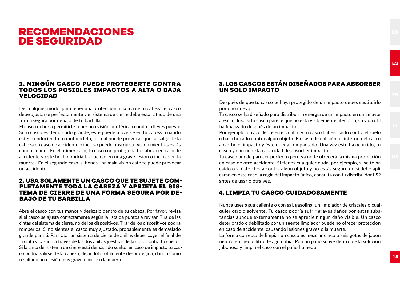### **RECOMENDACIONES DE SEGURIDAD**

#### **1. NINGÚN CASCO PUEDE PROTEGERTE CONTRA TODOS LOS POSIBLES IMPACTOS A ALTA O BAJA VELOCIDAD**

De cualquier modo, para tener una protección máxima de tu cabeza, el casco debe ajustarse perfectamente y el sistema de cierre debe estar atado de una forma segura por debajo de tu barbilla.

El casco debería permitirte tener una visión periférica cuando lo lleves puesto. Si tu casco es demasiado grande, éste puede moverse en tu cabeza cuando estés conduciendo tu motocicleta, lo cual puede provocar que se salga de la cabeza en caso de accidente o incluso puede obstruir tu visión mientras estás conduciendo. En el primer caso, tu casco no protegería tu cabeza en caso de accidente y este hecho podría traducirse en una grave lesión o incluso en la muerte. En el segundo caso, si tienes una mala visión esto te puede provocar un accidente.

#### **2. USA SOLAMENTE UN CASCO QUE TE SUJETE COM- PLETAMENTE TODA LA CABEZA Y APRIETA EL SIS-TEMA DE CIERRE DE UNA FORMA SEGURA POR DE-BAJO DE TU BARBILLA**

Abre el casco con tus manos y deslízalo dentro de tu cabeza. Por favor, revisa si el casco se ajusta correctamente según la lista de puntos a revisar. Tira de las cintas del sistema de cierre, no de los dispositivos. Tirar de los dispositivos podría romperlos. Si no sientes el casco muy ajustado, probablemente es demasiado grande para ti. Para atar un sistema de cierre de anillas deber coger el final de la cinta y pasarlo a través de las dos anillas y estirar de la cinta contra tu cuello. Si la cinta del sistema de cierre está demasiado suelto, en caso de impacto tu casco podría salirse de la cabeza, dejandola totalmente desprotegida, dando como resultado una lesión muy grave o incluso la muerte. **1 5**

#### **3. LOS CASCOS ESTÁN DISEÑADOS PARA ABSORBER UN SOLO IMPACTO**

Después de que tu casco te haya protegido de un impacto debes sustituirlo por uno nuevo.

Tu casco se ha diseñado para distribuir la energía de un impacto en una mayor área. Incluso si tu casco parece que no está visiblemente afectado, su vida útil ha finalizado después de un impacto.

Por ejemplo: un accidente en el cual tú y tu casco habéis caído contra el suelo o has chocado contra algún objeto. En caso de colisión, el interno del casco absorbe el impacto y éste queda compactado. Una vez esto ha ocurrido, tu casco ya no tiene la capacidad de absorber impactos.

Tu casco puede parecer perfecto pero ya no te ofrecerá la misma protección en caso de otro accidente. Si tienes cualquier duda, por ejemplo, si se te ha caído o si éste choca contra algún objeto y no estás seguro de si debe aplicarse en este caso la regla del impacto único, consulta con tu distribuidor LS2 antes de usarlo otra vez.

#### **4. LIMPIA TU CASCO CUIDADOSAMENTE**

Nunca uses agua caliente o con sal, gasolina, un limpiador de cristales o cualquier otro disolvente. Tu casco podría sufrir graves daños por estas substancias aunque externamente no se aprecie ningún daño visible. Un casco deteriorado o debilitado por un agente limpiador puede no ofrecer protección en caso de accidente, causando lesiones graves o la muerte.

La forma correcta de limpiar un casco es mezclar cinco o seis gotas de jabón neutro en medio litro de agua tibia. Pon un paño suave dentro de la solución jabonosa y limpia el caso con el paño húmedo.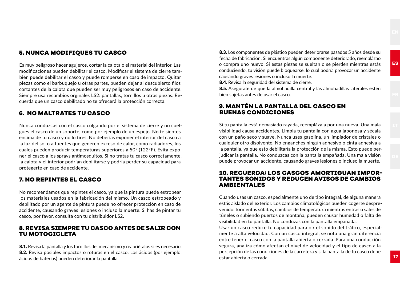#### **5. NUNCA MODIFIQUES TU CASCO**

Es muy peligroso hacer agujeros, cortar la calota o el material del interior. Las modificaciones pueden debilitar el casco. Modificar el sistema de cierre también puede debilitar el casco y puede romperse en caso de impacto. Quitar piezas como el barbuquejo u otras partes, pueden dejar al descubierto filos cortantes de la calota que pueden ser muy peligrosos en caso de accidente. Siempre usa recambios orginales LS2: pantallas, tornillos u otras piezas. Recuerda que un casco debilitado no te ofrecerá la protección correcta.

#### **6. NO MALTRATES TU CASCO**

Nunca conduzcas con el casco colgando por el sistema de cierre y no cuelgues el casco de un soporte, como por ejemplo de un espejo. No te sientes encima de tu casco y no lo tires. No deberías exponer el interior del casco a la luz del sol o a fuentes que generen exceso de calor, como radiadores, los cuales pueden producir temperaturas superiores a 50º (122ºF). Evita exponer el casco a los sprays antimosquitos. Si no tratas tu casco correctamente, la calota y el interior podrían debilitarse y podría perder su capacidad para protegerte en caso de accidente.

#### **7. NO REPINTES EL CASCO**

No recomendamos que repintes el casco, ya que la pintura puede estropear los materiales usados en la fabricación del mismo. Un casco estropeado y debilitado por un agente de pintura puede no ofrecer protección en caso de accidente, causando graves lesiones o incluso la muerte. Si has de pintar tu casco, por favor, consulta con tu distribuidor LS2.

#### **8. REVISA SIEMPRE TU CASCO ANTES DE SALIR CON TU MOTOCICLETA**

8.1. Revisa la pantalla y los tornillos del mecanismo y reapriétalos si es necesario. 8.2. Revisa posibles impactos o roturas en el casco. Los ácidos (por ejemplo, ácidos de baterías) pueden deteriorar la pantalla. **1 7**

8.3. Los componentes de plástico pueden deteriorarse pasados 5 años desde su fecha de fabricación. Si encuentras algún componente deteriorado, reemplázao o compra uno nuevo. Si estas piezas se sueltan o se pierden mientras estás conduciendo, tu visión puede bloquearse, lo cual podría provocar un accidente, causando graves lesiones o incluso la muerte.

8.4. Revisa la seguridad del sistema de cierre.

8.5. Asegúrate de que la almohadilla central y las almohadillas laterales estén bien sujetas antes de usar el casco.

#### **9. MANTÉN LA PANTALLA DEL CASCO EN BUENAS CONDICIONES**

Si tu pantalla está demasiado rayada, reemplázala por una nueva. Una mala visibilidad causa accidentes. Limpia tu pantalla con agua jabonosa y sécala con un paño seco y suave. Nunca uses gasolina, un limpiador de cristales o cualquier otro disolvente. No enganches ningún adhesivo o cinta adhesiva a la pantalla, ya que esto debilitaría la protección de la misma. Esto puede perjudicar la pantalla. No conduzcas con la pantalla empañada. Una mala visión puede provocar un accidente, causando graves lesiones o incluso la muerte.

#### **10. RECUERDA: LOS CASCOS AMORTIGUAN IMPOR-TANTES SONIDOS Y REDUCEN AVISOS DE CAMBIOS AMBIENTALES**

Cuando usas un casco, especialmente uno de tipo integral, de alguna manera estás aislado del exterior. Los cambios climatológicos pueden cogerte desprevenido: tormentas súbitas, cambios de temperatura mientras entras o sales de túneles o subiendo puertos de montaña, pueden causar humedad o falta de visibilidad en tu pantalla. No conduzas con la pantalla empañada.

Usar un casco reduce tu capacidad para oír el sonido del tráfico, especialmente a alta velocidad. Con un casco integral, se nota una gran diferencia entre tener el casco con la pantalla abierta o cerrada. Para una conducción segura, analiza cómo afectan el nivel de velocidad y el tipo de casco a la percepción de las condiciones de la carretera y si la pantalla de tu casco debe estar abierta o cerrada.

**ES**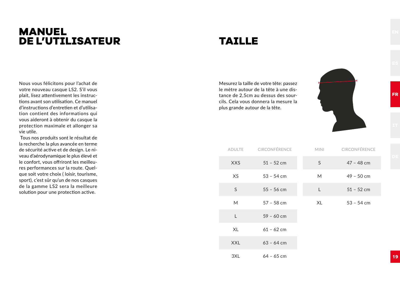# **MANUEL DE L'UTILISATEUR**

# **TAILLE**

Mesurez la taille de votre tête: passez le mètre autour de la tête à une distance de 2,5cm au dessus des sourcils. Cela vous donnera la mesure la plus grande autour de la tête.



| <b>ADULTE</b> | CIRCONFÉRENCE | <b>MINI</b> | CIRCONFÉRENCE |
|---------------|---------------|-------------|---------------|
| <b>XXS</b>    | $51 - 52$ cm  | S           | $47 - 48$ cm  |
| XS            | $53 - 54$ cm  | M           | $49 - 50$ cm  |
| S             | $55 - 56$ cm  | L           | $51 - 52$ cm  |
| M             | $57 - 58$ cm  | XL          | $53 - 54$ cm  |
| L             | $59 - 60$ cm  |             |               |
| XL            | $61 - 62$ cm  |             |               |
| <b>XXL</b>    | $63 - 64$ cm  |             |               |
| 3XL           | $64 - 65$ cm  |             |               |

Nous vous félicitons pour l'achat de votre nouveau casque LS2. S'il vous plait, lisez attentivement les instructions avant son utilisation. Ce manuel d'instructions d'entretien et d'utilisation contient des informations qui vous aideront à obtenir du casque la protection maximale et allonger sa vie utile.

 Tous nos produits sont le résultat de la recherche la plus avancée en terme de sécurité active et de design. Le niveau d'aérodynamique le plus élevé et le confort, vous offriront les meilleures performances sur la route. Quelque soit votre choix ( loisir, tourisme, sport), c'est sûr qu'un de nos casques de la gamme LS2 sera la meilleure solution pour une protection active.

**1 9**

**FR**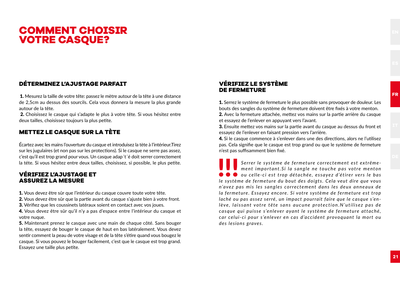# **COMMENT CHOISIR VOTRE CASQUE?**

#### **DÉTERMINEZ L'AJUSTAGE PARFAIT**

 1. Mesurez la taille de votre tête: passez le mètre autour de la tête à une distance de 2,5cm au dessus des sourcils. Cela vous donnera la mesure la plus grande autour de la tête.

2. Choisissez le casque qui s'adapte le plus à votre tête. Si vous hésitez entre deux tailles, choisissez toujours la plus petite.

#### **METTEZ LE CASQUE SUR LA TÈTE**

Écartez avec les mains l'ouverture du casque et introduisez la tète à l'intérieur.Tirez sur les jugulaires (et non pas sur les protections). Si le casque ne serre pas assez, c'est qu'il est trop grand pour vous. Un casque adap´t´é doit serrer correctement la téte. Si vous hésitez entre deux tailles, choisissez, si possible, le plus petite.

#### **VÉRIFIEZ L'AJUSTAGE ET ASSUREZ LA MESURE**

1. Vous devez être sûr que l'intérieur du casque couvre toute votre tête.

2. Vous devez être sûr que la partie avant du casque s'ajuste bien à votre front.

3. Vérifiez que les coussinets latéraux soient en contact avec vos joues.

4. Vous devez être sûr qu'il n'y a pas d'espace entre l'intérieur du casque et votre nuque.

5. Maintenant prenez le casque avec une main de chaque côté. Sans bouger la tête, essayez de bouger le casque de haut en bas latéralement. Vous devez sentir comment la peau de votre visage et de la tête s'étire quand vous bougez le casque. Si vous pouvez le bouger facilement, c'est que le casque est trop grand. Essayez une taille plus petite.

#### **VÉRIFIEZ LE SYSTÈME DE FERMETURE**

1. Serrez le système de fermeture le plus possible sans provoquer de douleur. Les bouts des sangles du système de fermeture doivent être fixés à votre menton. 2. Avec la fermeture attachée, mettez vos mains sur la partie arrière du casque et essayez de l'enlever en appuyant vers l'avant.

3. Ensuite mettez vos mains sur la partie avant du casque au dessus du front et essayez de l'enlever en faisant pression vers l'arrière.

4. Si le casque commence à s'enlever dans une des directions, alors ne l'utilisez pas. Cela signifie que le casque est trop grand ou que le système de fermeture n'est pas suffisamment bien fixé.

!!! *ou celle-ci est trop détachée, essayez d'étirer vers le bas Serrer le système de fermeture correctement est extrêmement important. Si la sangle ne touche pas votre menton le système de fermeture du bout des doigts. Cela veut dire que vous n'avez pas mis les sangles correctement dans les deux anneaux de la fermeture. Essayez encore. Si votre système de fermeture est trop laché ou pas assez serré, un impact pourrait faire que le casque s'enlève, laissant votre tête sans aucune protection. N'utilisez pas de casque qui puisse s'enlever ayant le système de fermeture attaché, car celui-ci pour s'enlever en cas d'accident provoquant la mort ou des lesions graves.*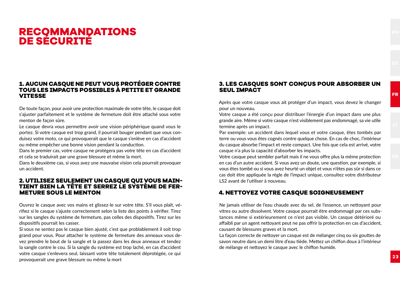# **RECOMMANDATIONS DE SÉCURITÉ**

#### **1. AUCUN CASQUE NE PEUT VOUS PROTÉGER CONTRE TOUS LES IMPACTS POSSIBLES À PETITE ET GRANDE VITESSE**

De toute façon, pour avoir une protection maximale de votre tête, le casque doit s'ajuster parfaitement et le système de fermeture doit être attaché sous votre menton de façon sûre.

Le casque devra vous permettre avoir une vision périphérique quand vous le portez. Si votre casque est trop grand, il pourrait bouger pendant que vous conduisez votre moto, ce qui provoquerait que le casque s'enlève en cas d'accident ou même empêcher une bonne vision pendant la conduction.

Dans le premier cas, votre casque ne protégera pas votre tête en cas d'accident et cela se traduirait par une grave blessure et même la mort.

Dans le deuxième cas, si vous avez une mauvaise vision cela pourrait provoquer un accident.

### **2. UTILISEZ SEULEMENT UN CASQUE QUI VOUS MAIN- TIENT BIEN LA TÊTE ET SERREZ LE SYSTÈME DE FER-METURE SOUS LE MENTON**

Ouvrez le casque avec vos mains et glissez-le sur votre tête. S'il vous plaît, vérifiez si le casque s'ajuste correctement selon la liste des points à vérifier. Tirez sur les sangles du système de fermeture, pas celles des dispositifs. Tirez sur les dispositifs pourrait les casser.

Si vous ne sentez pas le casque bien ajusté, c'est que problablement il soit trop grand pour vous. Pour attacher le système de fermeture des anneaux vous devez prendre le bout de la sangle et la passez dans les deux anneaux et tendez la sangle contre le cou. Si la sangle du système est trop laché, en cas d'accident votre casque s'enlevera seul, laissant votre tête totalement déprotégée, ce qui provoquerait une grave blessure ou même la mort **2 3**

#### **3. LES CASQUES SONT CONÇUS POUR ABSORBER UN SEUL IMPACT**

Après que votre casque vous ait protéger d'un impact, vous devez le changer pour un nouveau.

Votre casque a été conçu pour distribuer l'énergie d'un impact dans une plus grande aire. Même si votre casque n'est visiblement pas endommagé, sa vie utile termine après un impact.

Par exemple: un accident dans lequel vous et votre casque, êtes tombés par terre ou vous vous êtes cognés contre quelque chose. En cas de choc, l'intérieur du casque absorbe l'impact et reste compact. Une fois que cela est arrivé, votre casque n'a plus la capacité d'absorber les impacts.

Votre casque peut sembler parfait mais il ne vous offre plus la même protection en cas d'un autre accident. Si vous avez un doute, une question, par exemple, si vous êtes tombé ou si vous avez heurté un objet et vous n'êtes pas sûr si dans ce cas doit être appliquée la règle de l'impact unique, consultez votre distributeur LS2 avant de l'utiliser à nouveau.

#### **4. NETTOYEZ VOTRE CASQUE SOIGNEUSEMENT**

Ne jamais utiliser de l'eau chaude avec du sel, de l'essence, un nettoyant pour vitres ou autre dissolvent. Votre casque pourrait être endommagé par ces substances même si extérieurement ce n'est pas visible. Un casque détérioré ou affaibli par un agent nettoyant peut ne pas offrir la protection en cas d'accident, causant de blessures graves et la mort.

La façon correcte de nettoyer un casque est de mélanger cinq ou six gouttes de savon neutre dans un demi litre d'eau tiède. Mettez un chiffon doux à l'intérieur de mélange et nettoyez le casque avec le chiffon humide.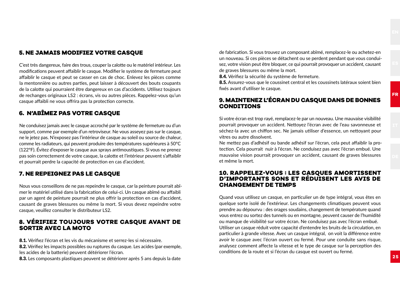#### **5. NE JAMAIS MODIFIEZ VOTRE CASQUE**

C'est très dangereux, faire des trous, couper la calotte ou le matériel intérieur. Les modifications peuvent affaiblir le casque. Modifier le système de fermeture peut affaiblir le casque et peut se casser en cas de choc. Enlevez les pièces comme la mentonnière ou autres parties, peut laisser à découvert des bouts coupants de la calotte qui pourraient être dangereux en cas d'accidents. Utilisez toujours de rechanges originaux LS2 : écrans, vis ou autres pièces. Rappelez-vous qu'un casque affaibli ne vous offrira pas la protection correcte.

#### **6. N'ABÎMEZ PAS VOTRE CASQUE**

Ne conduisez jamais avec le casque accroché par le système de fermeture ou d'un support, comme par exemple d'un retroviseur. Ne vous asseyez pas sur le casque, ne le jetez pas. N'exposez pas l'intérieur de casque au soleil ou source de chaleur, comme les radiateurs, qui peuvent produire des températures supérieures à 50ºC (122ºF). Évitez d'exposer le casque aux sprays antimoustiques. Si vous ne prenez pas soin correctement de votre casque, la calotte et l'intérieur peuvent s'affaiblir et pourrait perdre la capacité de protection en cas d'accident.

#### **7. NE REPEIGNEZ PAS LE CASQUE**

Nous vous conseillons de ne pas repeindre le casque, car la peinture pourrait abîmer le matériel utilisé dans la fabrication de celui-ci. Un casque abîmé ou affaibli par un agent de peinture pourrait ne plus offrir la protection en cas d'accident, causant de graves blessures ou même la mort. Si vous devez repeindre votre casque, veuillez consulter le distributeur LS2.

#### **8. VÉRIFIEZ TOUJOURS VOTRE CASQUE AVANT DE SORTIR AVEC LA MOTO**

8.1. Vérifiez l'écran et les vis du mécanisme et serrez-les si nécessaire.

8.2. Vérifiez les impacts possibles ou ruptures du casque. Les acides (par exemple, les acides de la batterie) peuvent détériorer l'écran.

8.3. Les composants plastiques peuvent se détériorer après 5 ans depuis la date **2 5**

de fabrication. Si vous trouvez un composant abîmé, remplacez-le ou achetez-en un nouveau. Si ces pièces se détachent ou se perdent pendant que vous conduisez, votre vision peut être bloquer, ce qui pourrait provoquer un accident, causant de graves blessures ou même la mort.

8.4. Vérifiez la sécurité du système de fermeture.

8.5. Assurez-vous que le coussinet central et les coussinets latéraux soient bien fixés avant d'utiliser le casque.

#### **9. MAINTENEZ L'ÉCRAN DU CASQUE DANS DE BONNES CONDITIONS**

Si votre écran est trop rayé, remplacez-le par un nouveau. Une mauvaise visibilité pourrait provoquer un accident. Nettoyez l'écran avec de l'eau savonneuse et séchez-la avec un chiffon sec. Ne jamais utiliser d'essence, un nettoyant pour vitres ou autre dissolvent.

Ne mettez pas d'adhésif ou bande adhésif sur l'écran, cela peut affaiblir la protection. Cela pourrait nuir à l'écran. Ne conduisez pas avec l'écran embué. Une mauvaise vision pourrait provoquer un accident, causant de graves blessures et même la mort.

#### **10. RAPPELEZ-VOUS : LES CASQUES AMORTISSENT D'IMPORTANTS SONS ET RÉDUISENT LES AVIS DE CHANGEMENT DE TEMPS**

Quand vous utilisez un casque, en particulier un de type intégral, vous êtes en quelque sorte isolé de l'extérieur. Les changements climatiques peuvent vous prendre au dépourvu : des orages soudains, changement de température quand vous entrez ou sortez des tunnels ou en montagne, peuvent causer de l'humidité ou manque de visibilité sur votre écran. Ne conduisez pas avec l'écran embué. Utiliser un casque réduit votre capacité d'entendre les bruits de la circulation, en particulier à grande vitesse. Avec un casque intégral, on voit la différence entre avoir le casque avec l'écran ouvert ou fermé. Pour une conduite sans risque, analysez comment affecte la vitesse et le type de casque sur la perception des conditions de la route et si l'écran du casque est ouvert ou fermé.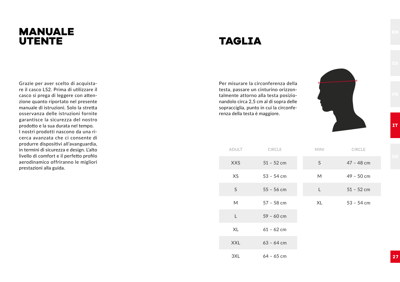# **MANUALE UTENTE**

# **TAGLIA**

Per misurare la circonferenza della testa, passare un cinturino orizzontalmente attorno alla testa posizionandolo circa 2,5 cm al di sopra delle sopracciglia, punto in cui la circonferenza della testa è maggiore.



ADULT CIRCLE XXS 51 – 52 cm XS 53 – 54 cm  $55 - 56$  cm M 57 – 58 cm L 59 – 60 cm XL 61 – 62 cm  $XXL$  63 – 64 cm 3XL 64 – 65 cm MINI CIRCLE S 47 – 48 cm M 49 – 50 cm L  $51 - 52$  cm XL 53 – 54 cm

Grazie per aver scelto di acquistare il casco LS2. Prima di utilizzare il casco si prega di leggere con attenzione quanto riportato nel presente manuale di istruzioni. Solo la stretta osservanza delle istruzioni fornite garantisce la sicurezza del nostro prodotto e la sua durata nel tempo. I nostri prodotti nascono da una ricerca avanzata che ci consente di produrre dispositivi all'avanguardia, in termini di sicurezza e design. L'alto livello di comfort e il perfetto profilo aerodinamico offriranno le migliori prestazioni alla guida.

**2 7**

**IT**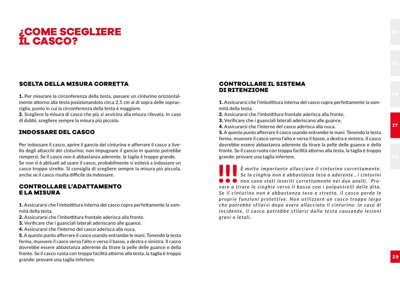## **¿COME SCEGLIERE IL CASCO?**

#### **SCELTA DELLA MISURA CORRETTA**

1. Per misurare la circonferenza della testa, passare un cinturino orizzontalmente attorno alla testa posizionandolo circa 2,5 cm al di sopra delle sopracciglia, punto in cui la circonferenza della testa è maggiore.

2. Scegliere la misura di casco che più si avvicina alla misura rilevata. In caso di dubbi, scegliere sempre la misura più piccola.

#### **INDOSSARE DEL CASCO**

Per indossare il casco, aprire il gancio del cinturino e afferrare il casco a livello degli attacchi del cinturino; non impugnare il gancio in quanto potrebbe rompersi. Se il casco non è abbastanza aderente, la taglia è troppo grande. Se non si è abituati ad usare il casco, probabilmente si esiterà a indossare un casco troppo stretto. Si consiglia di scegliere sempre la misura più piccola, anche se il casco risulta difficile da indossare.

#### **CONTROLLARE L'ADATTAMENTO E LA MISURA**

1. Assicurarsi che l'imbottitura interna del casco copra perfettamente la sommità della testa.

- 2. Assicurarsi che l'imbottitura frontale aderisca alla fronte.
- 3. Verificare che i guanciali laterali aderiscano alle guance.
- 4. Assicurarsi che l'interno del casco aderisca alla nuca.

5. A questo punto afferrare il casco usando entrambe le mani. Tenendo la testa ferma, muovere il casco verso l'alto e verso il basso, a destra e sinistra. Il casco dovrebbe essere abbastanza aderente da tirare la pelle delle guance e della fronte. Se il casco ruota con troppa facilità attorno alla testa, la taglia è troppo grande: provare una taglia inferiore.

#### **CONTROLLARE IL SISTEMA DI RITENZIONE**

1. Assicurarsi che l'imbottitura interna del casco copra perfettamente la sommità della testa.

- 2. Assicurarsi che l'imbottitura frontale aderisca alla fronte.
- 3. Verificare che i guanciali laterali aderiscano alle guance.
- 4. Assicurarsi che l'interno del casco aderisca alla nuca.

5. A questo punto afferrare il casco usando entrambe le mani. Tenendo la testa ferma, muovere il casco verso l'alto e verso il basso, a destra e sinistra. Il casco dovrebbe essere abbastanza aderente da tirare la pelle delle guance e della fronte. Se il casco ruota con troppa facilità attorno alla testa, la taglia è troppo grande: provare una taglia inferiore.

*E molto importante allacciare il cinturino correttamente.*<br> **Se la cinghia non è abbastanza tesa o aderente**, i cinturini<br> **O O** non sono stati inseriti correttamente nei due anelli. Pro-<br>
vare a tirare le cinghie verso *Se la cinghia non è abbas tanza tesa o aderente , i cinturini*  ● ● ● non sono stati inseriti correttamente nei due anelli. Pro*vare a tirare le cinghie verso il basso con i polpastrelli delle dita. S e i l c i n t u r i n o n o n è a b b a s t a n z a te s o e s t r e t to , i l c a s c o p e r d e l e p r o p r i e f u n z i o n i p r o te t t i ve . N o n u t i l i z za r e u n c a s c o t r o p p o l a r g o che potrebbe sfilarsi dopo avere allacciato il cinturino: in caso di incidente, il casco potrebbe sfilarsi dalla testa causando lesioni gravi o letali.*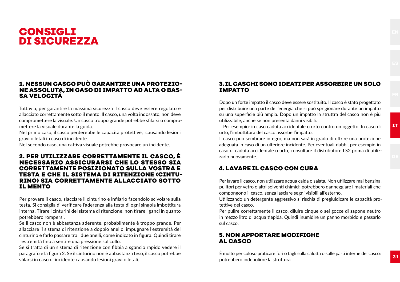

#### **1. NESSUN CASCO PUÒ GARANTIRE UNA PROTEZIO-NE ASSOLUTA, IN CASO DI IMPATTO AD ALTA O BAS-SA VELOCITÁ**

Tuttavia, per garantire la massima sicurezza il casco deve essere regolato e allacciato correttamente sotto il mento. Il casco, una volta indossato, non deve compromettere la visuale. Un casco troppo grande potrebbe sfilarsi o compromettere la visuale durante la guida.

Nel primo caso, il casco perderebbe le capacità protettive, causando lesioni gravi o letali in caso di incidente.

Nel secondo caso, una cattiva visuale potrebbe provocare un incidente.

#### **2. PER UTILIZZARE CORRETTAMENTE IL CASCO, È NECESSARIO ASSICURARSI CHE LO STESSO SIA CORRETTAMENTE POSIZIONATO SULLA VOSTRA E TESTA E CHE IL SISTEMA DI RITENZIONE (CINTU-RINO) SIA CORRETTAMENTE ALLACCIATO SOTTO IL MENTO**

Per provare il casco, slacciare il cinturino e infilarlo facendolo scivolare sulla testa. Si consiglia di verificare l'aderenza alla testa di ogni singola imbottitura interna. Tirare i cinturini del sistema di ritenzione: non tirare i ganci in quanto potrebbero rompersi.

Se il casco non è abbastanza aderente, probabilmente è troppo grande. Per allacciare il sistema di ritenzione a doppio anello, impugnare l'estremità del cinturino e farlo passare tra i due anelli, come indicato in figura. Quindi tirare l'estremità fino a sentire una pressione sul collo.

Se si tratta di un sistema di ritenzione con fibbia a sgancio rapido vedere il paragrafo e la figura 2. Se il cinturino non è abbastanza teso, il casco potrebbe sfilarsi in caso di incidente causando lesioni gravi o letali.

#### **3. IL CASCHI SONO IDEATI PER ASSORBIRE UN SOLO IMPATTO**

Dopo un forte impatto il casco deve essere sostituito. Il casco è stato progettato per distribuire una parte dell'energia che si può sprigionare durante un impatto su una superficie più ampia. Dopo un impatto la struttra del casco non è più utilizzabile, anche se non presenta danni visibili.

 Per esempio: in caso caduta accidentale o urto contro un oggetto. In caso di urto, l'imbottitura del casco assorbe l'impatto.

Il casco può sembrare integro, ma non sarà in grado di offrire una protezione adeguata in caso di un ulteriore incidente. Per eventuali dubbi, per esempio in caso di caduta accidentale o urto, consultare il distributore LS2 prima di utilizzarlo nuovamente.

#### **4. LAVARE IL CASCO CON CURA**

Per lavare il casco, non utilizzare acqua calda o salata. Non utilizzare mai benzina, pulitori per vetro o altri solventi chimici: potrebbero danneggiare i materiali che compongono il casco, senza lasciare segni visibili all'esterno.

Utilizzando un detergente aggressivo si rischia di pregiuidicare le capacità protettive del casco.

Per pulire correttamente il casco, diluire cinque o sei gocce di sapone neutro in mezzo litro di acqua tiepida. Quindi inumidire un panno morbido e passarlo sul casco.

#### **5. NON APPORTARE MODIFICHE AL CASCO**

È molto pericoloso praticare fori o tagli sulla calotta o sulle parti interne del casco: potrebbero indebolirne la struttura.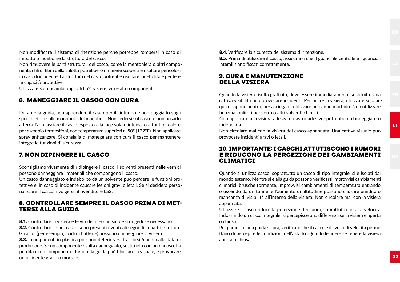Non modificare il sistema di ritenzione perché potrebbe rompersi in caso di impatto o indebolire la struttura del casco.

Non rimuovere le parti strutturali del casco, come la mentoniera o altri componenti: i fili di fibra della calotta potrebbero rimanere scoperti e risultare pericolosi in caso di incidente. La struttura del casco potrebbe risultare indebolita e perdere le capacità protettive.

Utilizzare solo ricambi originali LS2: visiere, viti e altri componenti.

#### **6. MANEGGIARE IL CASCO CON CURA**

Durante la guida, non appendere il casco per il cinturino e non poggiarlo sugli specchietti o sulle manopole del manubrio. Non sedersi sul casco e non posarlo a terra. Non lasciare il casco esposto alla luce solare intensa o a fonti di calore, per esempio termosifoni, con temperature superiori ai 50° (122°F). Non applicare spray antizanzare. Si consiglia di maneggiare con cura il casco per mantenere integre le funzioni di sicurezza.

#### **7. NON DIPINGERE IL CASCO**

Sconsigliamo vivamente di ridipingere il casco: i solventi presenti nelle vernici possono danneggiare i materiali che compongono il casco.

Un casco danneggiato e indebolito da un solvente può perdere le funzioni protettive e, in caso di incidente causare lesioni gravi o letali. Se si desidera personalizzare il casco, rivolgersi al rivenditore LS2.

#### **8. CONTROLLARE SEMPRE IL CASCO PRIMA DI MET-TERSI ALLA GUIDA**

8.1. Controllare la visiera e le viti del meccanismo e stringerli se necessario. 8.2. Controllare se nel casco sono presenti eventuali segni di impatto e rotture. Gli acidi (per esempio, acidi di batterie) possono danneggiare la visiera.

8.3. I componenti in plastica possono deteriorarsi trascorsi 5 anni dalla data di produzione. Se un componente risulta danneggiato, sostituirlo con uno nuovo. La perdita di un componente durante la guida può bloccare la visuale, e provocare un incidente grave o mortale.

8.4. Verificare la sicurezza del sistema di ritenzione.

8.5. Prima di utilizzare il casco, assicurarsi che il guanciale centrale e i guanciali laterali siano fissati correttamente.

#### **9. CURA E MANUTENZIONE DELLA VISIERA**

Quando la visiera risulta graffiata, deve essere immediatamente sostituita. Una cattiva visibilità può provocare incidenti. Per pulire la visiera, utilizzare solo acqua e sapone neutro; per asciugare, utilizzare un panno morbido. Non utilizzare benzina, pulitori per vetro o altri solventi chimici.

Non applicare alla visiera adesivi o nastro adesivo: potrebbero danneggiare o indebolirla.

Non circolare mai con la visiera del casco appannata. Una cattiva visuale può provocare incidenti gravi o letali.

#### **10. IMPORTANTE: I CASCHI ATTUTISCONO I RUMORI E RIDUCONO LA PERCEZIONE DEI CAMBIAMENTI CLIMATICI**

Quando si utilizza casco, soprattutto un casco di tipo integrale, si è isolati dal mondo esterno. Mentre si è alla guida possono verificarsi improvvisi cambiamenti climatici: brusche tormente, improvvisi cambiamenti di temperatura entrando o uscendo da un tunnel e l'aumento di altitudine possono causare umidità o mancanza di visibilità all'interno della visiera. Non circolare mai con la visiera appannata.

Utilizzare il casco riduce la percezione dei suoni, soprattutto ad alta velocità. Indossando un casco integrale, si percepisce una differenza se la visiera è aperta o chiusa.

Per garantire una guida sicura, verificare che il casco e il livello di velocità permettano di percepire le condizioni dell'asfalto. Quindi decidere se tenere la visiera aperta o chiusa.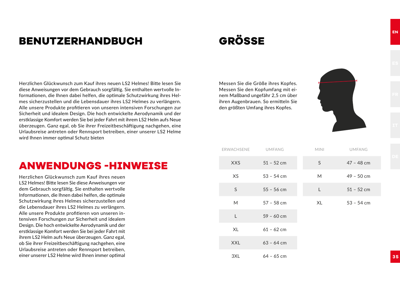# **BENUTZERHANDBUCH**

# **GRÖSSE**

Herzlichen Glückwunsch zum Kauf ihres neuen LS2 Helmes! Bitte lesen Sie diese Anweisungen vor dem Gebrauch sorgfältig. Sie enthalten wertvolle Informationen, die Ihnen dabei helfen, die optimale Schutzwirkung ihres Helmes sicherzustellen und die Lebensdauer ihres LS2 Helmes zu verlängern. Alle unsere Produkte profitieren von unseren intensiven Forschungen zur Sicherheit und idealem Design. Die hoch entwickelte Aerodynamik und der erstklassige Komfort werden Sie bei jeder Fahrt mit ihrem LS2 Helm aufs Neue überzeugen. Ganz egal, ob Sie ihrer Freizeitbeschäftigung nachgehen, eine Urlaubsreise antreten oder Rennsport betreiben, einer unserer LS2 Helme wird Ihnen immer optimal Schutz bieten

# **ANWENDUNGS -HINWEISE**

Herzlichen Glückwunsch zum Kauf ihres neuen LS2 Helmes! Bitte lesen Sie diese Anweisungen vor dem Gebrauch sorgfältig. Sie enthalten wertvolle Informationen, die Ihnen dabei helfen, die optimale Schutzwirkung ihres Helmes sicherzustellen und die Lebensdauer ihres LS2 Helmes zu verlängern. Alle unsere Produkte profitieren von unseren intensiven Forschungen zur Sicherheit und idealem Design. Die hoch entwickelte Aerodynamik und der erstklassige Komfort werden Sie bei jeder Fahrt mit ihrem LS2 Helm aufs Neue überzeugen. Ganz egal, ob Sie ihrer Freizeitbeschäftigung nachgehen, eine Urlaubsreise antreten oder Rennsport betreiben, einer unserer LS2 Helme wird Ihnen immer optimal

Messen Sie die Größe ihres Kopfes. Messen Sie den Kopfumfang mit einem Maßband ungefähr 2,5 cm über ihren Augenbrauen. So ermitteln Sie den größten Umfang ihres Kopfes.

| ERWACHSENE | UMFANG       | <b>MINI</b> | <b>UMFANG</b> |
|------------|--------------|-------------|---------------|
| <b>XXS</b> | $51 - 52$ cm | S           | $47 - 48$ cm  |
| XS         | $53 - 54$ cm | M           | $49 - 50$ cm  |
| S          | $55 - 56$ cm | L           | $51 - 52$ cm  |
| M          | $57 - 58$ cm | XL          | $53 - 54$ cm  |
| L          | $59 - 60$ cm |             |               |
| XL         | $61 - 62$ cm |             |               |
| <b>XXL</b> | $63 - 64$ cm |             |               |
| 3XL        | $64 - 65$ cm |             |               |

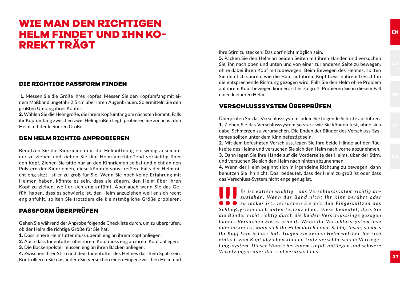# **WIE MAN DEN RICHTIGEN HELM FINDET UND IHN KO-RREKT TRÄGT**

#### **DIE RICHTIGE PASSFORM FINDEN**

 1. Messen Sie die Größe ihres Kopfes. Messen Sie den Kopfumfang mit einem Maßband ungefähr 2,5 cm über ihren Augenbrauen. So ermitteln Sie den größten Umfang ihres Kopfes.

2. Wählen Sie die Helmgröße, die ihrem Kopfumfang am nächsten kommt. Falls ihr Kopfumfang zwischen zwei Helmgrößen liegt, probieren Sie zunächst den Helm mit der kleineren Größe.

#### **DEN HELM RICHTIG ANPROBIEREN**

Benutzen Sie die Kinnriemen um die Helmöffnung ein wenig auseinander zu ziehen und ziehen Sie den Helm anschließend vorsichtig über den Kopf. Ziehen Sie bitte nur an den Kinnriemen selbst und nicht an den Polstern der Kinnriemen, diese könnten sonst reißen. Falls der Helm nicht eng sitzt, ist er zu groß für Sie. Wenn Sie noch keine Erfahrung mit Helmen haben, könnte es sein, dass sie zögern, den Helm über ihren Kopf zu ziehen, weil er sich eng anfühlt. Aber auch wenn Sie das Gefühl haben, dass es schwierig ist, den Helm anzuziehen weil er sich recht eng anfühlt, sollten Sie trotzdem die kleinstmögliche Größe probieren.

#### **PASSFORM ÜBERPRÜFEN**

Gehen Sie während der Anprobe folgende Checkliste durch, um zu überprüfen, ob der Helm die richtige Größe für Sie hat.

- 1. Dass innere Helmfutter muss überall eng an ihrem Kopf anliegen.
- 2. Auch dass Innenfutter über ihrem Kopf muss eng an ihrem Kopf anliegen.
- 3. Die Backenpolster müssen eng an ihren Backen anliegen.

4. Zwischen ihrer Stirn und dem Innenfutter des Helmes darf kein Spalt sein. Kontrollieren Sie das, indem Sie versuchen einen Finger zwischen Helm und ihre Stirn zu stecken. Das darf nicht möglich sein.

5. Packen Sie den Helm an beiden Seiten mit ihren Händen und versuchen Sie, ihn nach oben und unten und von einer zur anderen Seite zu bewegen, ohne dabei ihren Kopf mitzubewegen. Beim Bewegen des Helmes, sollten Sie deutlich spüren, wie die Haut auf ihrem Kopf bzw. in ihrem Gesicht in die entsprechende Richtung gezogen wird. Falls Sie den Helm ohne Problem auf ihrem Kopf bewegen können, ist er zu groß. Probieren Sie in diesem Fall einen kleineren Helm.

#### **VERSCHLUSSSYSTEM ÜBERPRÜFEN**

Überprüfen Sie das Verschlusssystem indem Sie folgende Schritte ausführen. 1. Ziehen Sie das Verschlusssystem so stark wie Sie können fest, ohne sich dabei Schmerzen zu verursachen. Die Enden der Bänder des Verschluss-Systemes sollten unter dem Kinn befestigt sein.

2. Mit dem befestigten Verschluss, legen Sie Ihre beide Hände auf der Rückseite des Helms und versuchen Sie sich den Helm nach vorne abzunehmen. 3. Dann legen Sie Ihre Hände auf die Vorderseite des Helms, über der Stirn, und versuchen Sie sich den Helm nach hinten abzunehmen.

4. Wenn der Helm beginnt sich in irgendeine Richtung zu bewegen, dann benutzen Sie ihn nicht. Das bedeutet, dass der Helm zu groß ist oder dass das Verschluss-System nicht enge genug ist.

**Es ist extrem wichtig, das Verschlusssystem richtig an-<br>** *zuziehen.* **Wenn das Band nicht Ihr Kinn berührt oder<br>
Schließsystem nach unten festzuziehen. Diese hedeutet dass Sie<br>
Schließsystem nach unten festzuziehen. Diese** *z u z i e h e n . W e n n d a s B a n d n i c h t I h r K i n n b e r ü h r t o d e r*   $\bullet \bullet \bullet$  zu locker ist, versuchen Sie mit den Fingerspitzen das *S c h l i e ß s y s te m n a c h u n te n fe s t z u zi e h e n . D i e s e b e d e u te t , d a s s S i e*  die Bänder nicht richtig durch die beiden Verschlussringe gezogen *haben. Versuchen Sie es erneut. Wenn Ihr Verschlusssystem lose oder locker ist, kann sich Ihr Helm durch einen Schlag lösen, so dass Ihr Kopf kein Schutz hat. Tragen Sie keinen Helm welchen Sie sich einfach vom Kopf abziehen können trotz verschlossenem Verriegelungssys tem . Die ser könnte bei einem Unfall abfliegen und schwere Verletzungen oder den Tod verursachens.*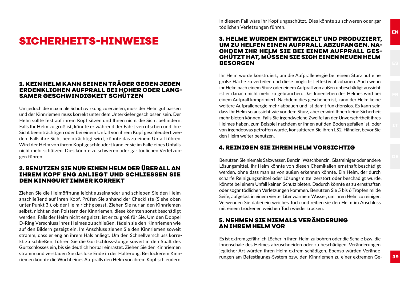# **SICHERHEITS-HINWEISE**

#### **1. KEIN HELM KANN SEINEN TRÄGER GEGEN JEDEN ERDENKLICHEN AUFPRALL BEI HOHER ODER LANG-SAMER GESCHWINDIGKEIT SCHÜTZEN**

Um jedoch die maximale Schutzwirkung zu erzielen, muss der Helm gut passen und der Kinnriemen muss korrekt unter dem Unterkiefer geschlossen sein. Der Helm sollte fest auf ihrem Kopf sitzen und Ihnen nicht die Sicht behindern. Falls Ihr Helm zu groß ist, könnte er während der Fahrt verrutschen und ihre Sicht beeinträchtigen oder bei einem Unfall von ihrem Kopf geschleudert werden. Falls ihre Sicht beeinträchtigt wird, könnte das zu einem Unfall führen. Wird der Helm von ihrem Kopf geschleudert kann er sie im Falle eines Unfalls nicht mehr schützen. Dies könnte zu schweren oder gar tödlichen Verletzungen führen.

#### **2. BENUTZEN SIE NUR EINEN HELM DER ÜBERALL AN IHREM KOPF ENG ANLIEGT UND SCHLIESSEN SIE DEN KINNGURT IMMER KORREKT**

Ziehen Sie die Helmöffnung leicht auseinander und schieben Sie den Helm anschließend auf ihren Kopf. Prüfen Sie anhand der Checkliste (Siehe oben unter Punkt 3.), ob der Helm richtig passt. Ziehen Sie nur an den Kinnriemen selbst, nicht an den Polstern der Kinnriemen, diese könnten sonst beschädigt werden. Falls der Helm nicht eng sitzt, ist er zu groß für Sie. Um den Doppel D-Ring Verschluss ihres Helmes zu schließen, fädeln sie den Kinnriemen wie auf den Bildern gezeigt ein. Im Anschluss ziehen Sie den Kinnriemen soweit stramm, dass er eng an ihrem Hals anliegt. Um den Schnellverschluss korrekt zu schließen, führen Sie die Gurtschloss-Zunge soweit in den Spalt des Gurtschlosses ein, bis sie deutlich hörbar einrastet. Ziehen Sie den Kinnriemen stramm und verstauen Sie das lose Ende in der Halterung. Bei lockerem Kinnriemen könnte die Wucht eines Aufpralls den Helm von ihrem Kopf schleudern.

In diesem Fall wäre ihr Kopf ungeschützt. Dies könnte zu schweren oder gar tödlichen Verletzungen führen.

#### **3. HELME WURDEN ENTWICKELT UND PRODUZIERT, UM ZU HELFEN EINEN AUFPRALL ABZUFANGEN. NA-CHDEM IHR HELM SIE BEI EINEM AUFPRALL GES-CHÜTZT HAT, MÜSSEN SIE SICH EINEN NEUEN HELM BESORGEN**

Ihr Helm wurde konstruiert, um die Aufprallenergie bei einem Sturz auf eine große Fläche zu verteilen und diese möglichst effektiv abzubauen. Auch wenn ihr Helm nach einem Sturz oder einem Aufprall von außen unbeschädigt aussieht, ist er danach nicht mehr zu gebrauchen. Das Innenleben des Helmes wird bei einem Aufprall komprimiert. Nachdem dies geschehen ist, kann der Helm keine weitere Aufprallenergie mehr abbauen und ist damit funktionslos. Es kann sein, dass Ihr Helm so aussieht wie vor dem Sturz, aber er wird Ihnen keine Sicherheit mehr bieten können. Falls Sie irgendwelche Zweifel an der Unversehrtheit ihres Helmes haben, zum Beispiel nachdem er Ihnen auf den Boden gefallen ist, oder von irgendetwas getroffen wurde, konsultieren Sie ihren LS2-Händler, bevor Sie den Helm weiter benutzen.

#### **4. REINIGEN SIE IHREN HELM VORSICHTIG**

Benutzen Sie niemals Salzwasser, Benzin, Waschbenzin, Glasreiniger oder andere Lösungsmittel. Ihr Helm könnte von diesen Chemikalien ernsthaft beschädigt werden, ohne dass man es von außen erkennen könnte. Ein Helm, der durch scharfe Reinigungsmittel oder Lösungsmittel zerstört oder beschädigt wurde, könnte bei einem Unfall keinen Schutz bieten. Dadurch könnte es zu ernsthaften oder sogar tödlichen Verletzungen kommen. Benutzen Sie 5 bis 6 Tropfen milde Seife, aufgelöst in einem viertel Liter warmem Wasser, um ihren Helm zu reinigen. Verwenden Sie dabei ein weiches Tuch und reiben sie den Helm im Anschluss mit einem trockenen weichen Tuch wieder trocken.

#### **5. NEHMEN SIE NIEMALS VERÄNDERUNG AN IHREM HELM VOR**

Es ist extrem gefährlich Löcher in ihren Helm zu bohren oder die Schale bzw. die Innenschale des Helmes abzuschneiden oder zu beschädigen. Veränderungen jeglicher Art würden ihren Helm extrem schädigen. Ebenso würden Veränderungen am Befestigungs-System bzw. den Kinnriemen zu einer extremen Ge-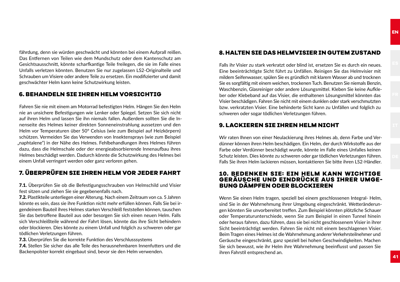fährdung, denn sie würden geschwächt und könnten bei einem Aufprall reißen. Das Entfernen von Teilen wie dem Mundschutz oder dem Kantenschutz am Gesichtsausschnitt, könnte scharfkantige Teile freilegen, die sie im Falle eines Unfalls verletzen könnten. Benutzen Sie nur zugelassen LS2-Originalteile und Schrauben um Visiere oder andere Teile zu ersetzen. Ein modifizierter und damit geschwächter Helm kann keine Schutzwirkung leisten.

#### **6. BEHANDELN SIE IHREN HELM VORSICHTIG**

Fahren Sie nie mit einem am Motorrad befestigten Helm. Hängen Sie den Helm nie an unsichere Befestigungen wie Lenker oder Spiegel. Setzen Sie sich nicht auf ihren Helm und lassen Sie ihn niemals fallen. Außerdem sollten Sie die Innenseite des Helmes keiner direkten Sonneneinstrahlung aussetzen und den Helm vor Temperaturen über 50° Celsius (wie zum Beispiel auf Heizkörpern) schützen. Vermeiden Sie das Verwenden von Insektensprays (wie zum Beispiel "naphtalene") in der Nähe des Helmes. Fehlbehandlungen ihres Helmes führen dazu, dass die Helmschale oder der energieabsorbierende Innenaufbau ihres Helmes beschädigt werden. Dadurch könnte die Schutzwirkung des Helmes bei einem Unfall verringert werden oder ganz verloren gehen.

#### **7. ÜBERPRÜFEN SIE IHREN HELM VOR JEDER FAHRT**

7.1. Überprüfen Sie ob die Befestigungsschrauben von Helmschild und Visier fest sitzen und ziehen Sie sie gegebenenfalls nach.

7.2. Plastikteile unterliegen einer Alterung. Nach einem Zeitraum von ca. 5 Jahren könnte es sein, dass sie ihre Funktion nicht mehr erfüllen können. Falls Sie bei irgendeinem Bauteil ihres Helmes starken Verschleiß feststellen können, tauschen Sie das betroffene Bauteil aus oder besorgen Sie sich einen neuen Helm. Falls sich Verschleißteile während der Fahrt lösen, könnte das ihre Sicht behindern oder blockieren. Dies könnte zu einem Unfall und folglich zu schweren oder gar tödlichen Verletzungen führen.

7.3. Überprüfen Sie die korrekte Funktion des Verschlusssystems

7.4. Stellen Sie sicher das alle Teile des herausnehmbaren Innenfutters und die Backenpolster korrekt eingebaut sind, bevor sie den Helm verwenden.

#### **8. HALTEN SIE DAS HELMVISIER IN GUTEM ZUSTAND**

Falls ihr Visier zu stark verkratzt oder blind ist, ersetzen Sie es durch ein neues. Eine beeinträchtigte Sicht führt zu Unfällen. Reinigen Sie das Helmvisier mit mildem Seifenwasser, spülen Sie es gründlich mit klarem Wasser ab und trocknen Sie es sorgfältig mit einem weichen, trockenen Tuch. Benutzen Sie niemals Benzin, Waschbenzin, Glasreiniger oder andere Lösungsmittel. Kleben Sie keine Aufkleber oder Klebeband auf das Visier, die enthaltenen Lösungsmittel könnten das Visier beschädigen. Fahren Sie nicht mit einem dunklen oder stark verschmutzten bzw. verkratzten Visier. Eine behinderte Sicht kann zu Unfällen und folglich zu schweren oder sogar tödlichen Verletzungen führen.

#### **9. LACKIEREN SIE IHREN HELM NICHT**

Wir raten Ihnen von einer Neulackierung ihres Helmes ab, denn Farbe und Verdünner können ihren Helm beschädigen. Ein Helm, der durch Wirkstoffe aus der Farbe oder Verdünner beschädigt wurde, könnte im Falle eines Unfalles keinen Schutz leisten. Dies könnte zu schweren oder gar tödlichen Verletzungen führen. Falls Sie ihren Helm lackieren müssen, kontaktieren Sie bitte ihren LS2-Händler.

#### **10. BEDENKEN SIE: EIN HELM KANN WICHTIGE GERÄUSCHE UND EINDRÜCKE AUS IHRER UMGE-BUNG DÄMPFEN ODER BLOCKIEREN**

Wenn Sie einen Helm tragen, speziell bei einem geschlossenen Integral- Helm, sind Sie in der Wahrnehmung ihrer Umgebung eingeschränkt. Wetteränderungen könnten Sie unvorbereitet treffen. Zum Beispiel könnten plötzliche Schauer oder Temperaturunterschiede, wenn Sie zum Beispiel in einen Tunnel hinein oder heraus fahren, dazu führen, dass sie bei nicht geschlossenem Visier in ihrer Sicht beeinträchtigt werden. Fahren Sie nicht mit einem beschlagenen Visier. Beim Tragen eines Helmes ist die Wahrnehmung anderer Verkehrsteilnehmer und Geräusche eingeschränkt, ganz speziell bei hohen Geschwindigkeiten. Machen Sie sich bewusst, wie ihr Helm ihre Wahrnehmung beeinflusst und passen Sie ihren Fahrstil entsprechend an.